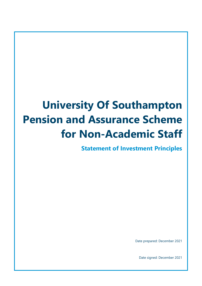# **University Of Southampton Pension and Assurance Scheme for Non-Academic Staff**

**Statement of Investment Principles**

Date prepared: December 2021

Date signed: December 2021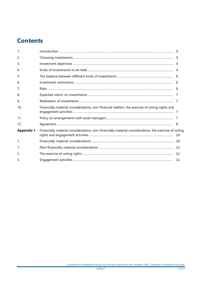# **Contents**

| $\mathbf{1}$ .    |                                                                                                      |  |
|-------------------|------------------------------------------------------------------------------------------------------|--|
| 2.                |                                                                                                      |  |
| 3.                |                                                                                                      |  |
| 4.                |                                                                                                      |  |
| 5.                |                                                                                                      |  |
| 6.                |                                                                                                      |  |
| 7.                |                                                                                                      |  |
| 8.                |                                                                                                      |  |
| 9.                |                                                                                                      |  |
| 10.               | Financially material considerations, non-financial matters, the exercise of voting rights and        |  |
| 11 <sub>1</sub>   |                                                                                                      |  |
| 12.               |                                                                                                      |  |
| <b>Appendix 1</b> | Financially material considerations, non-financially material considerations, the exercise of voting |  |
| 1.                |                                                                                                      |  |
| $\mathbf{1}$ .    |                                                                                                      |  |
| 2.                |                                                                                                      |  |
| 3                 |                                                                                                      |  |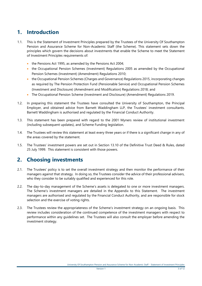### <span id="page-2-0"></span>**1. Introduction**

- 1.1. This is the Statement of Investment Principles prepared by the Trustees of the University Of Southampton Pension and Assurance Scheme for Non-Academic Staff (the Scheme). This statement sets down the principles which govern the decisions about investments that enable the Scheme to meet the Statement of Investment Principles requirements of:
	- the Pensions Act 1995, as amended by the Pensions Act 2004;
	- the Occupational Pension Schemes (Investment) Regulations 2005 as amended by the Occupational Pension Schemes (Investment) (Amendment) Regulations 2010;
	- the Occupational Pension Schemes (Charges and Governance) Regulations 2015, incorporating changes as required by The Pension Protection Fund (Pensionable Service) and Occupational Pension Schemes (Investment and Disclosure) (Amendment and Modification) Regulations 2018; and
	- The Occupational Pension Scheme (Investment and Disclosure) (Amendment) Regulations 2019.
- 1.2. In preparing this statement the Trustees have consulted the University of Southampton, the Principal Employer, and obtained advice from Barnett Waddingham LLP, the Trustees' investment consultants. Barnett Waddingham is authorised and regulated by the Financial Conduct Authority.
- 1.3. This statement has been prepared with regard to the 2001 Myners review of institutional investment (including subsequent updates), and Scheme Funding legislation.
- 1.4. The Trustees will review this statement at least every three years or if there is a significant change in any of the areas covered by the statement.
- 1.5. The Trustees' investment powers are set out in Section 13.10 of the Definitive Trust Deed & Rules, dated 25 July 1999. This statement is consistent with those powers.

### <span id="page-2-1"></span>**2. Choosing investments**

- 2.1. The Trustees' policy is to set the overall investment strategy and then monitor the performance of their managers against that strategy. In doing so, the Trustees consider the advice of their professional advisers, who they consider to be suitably qualified and experienced for this role.
- 2.2. The day-to-day management of the Scheme's assets is delegated to one or more investment managers. The Scheme's investment managers are detailed in the Appendix to this Statement. The investment managers are authorised and regulated by the Financial Conduct Authority, and are responsible for stock selection and the exercise of voting rights.
- 2.3. The Trustees review the appropriateness of the Scheme's investment strategy on an ongoing basis. This review includes consideration of the continued competence of the investment managers with respect to performance within any guidelines set. The Trustees will also consult the employer before amending the investment strategy.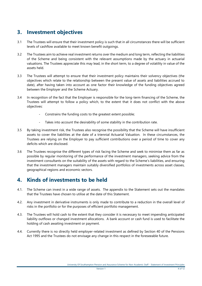### <span id="page-3-0"></span>**3. Investment objectives**

- 3.1 The Trustees will ensure that their investment policy is such that in all circumstances there will be sufficient levels of cashflow available to meet known benefit outgoings.
- 3.2 The Trustees aim to achieve real investment returns over the medium and long term, reflecting the liabilities of the Scheme and being consistent with the relevant assumptions made by the actuary in actuarial valuations. The Trustees appreciate this may lead, in the short term, to a degree of volatility in value of the assets held.
- 3.3 The Trustees will attempt to ensure that their investment policy maintains their solvency objectives (the objectives which relate to the relationship between the present value of assets and liabilities accrued to date), after having taken into account as one factor their knowledge of the funding objectives agreed between the Employer and the Scheme Actuary.
- 3.4 In recognition of the fact that the Employer is responsible for the long-term financing of the Scheme, the Trustees will attempt to follow a policy which, to the extent that it does not conflict with the above objectives:
	- Constrains the funding costs to the greatest extent possible;
	- Takes into account the desirability of some stability in the contribution rate.
- 3.5 By taking investment risk, the Trustees also recognise the possibility that the Scheme will have insufficient assets to cover the liabilities at the date of a triennial Actuarial Valuation. In these circumstances, the Trustees are relying on the Employer to pay sufficient contributions over a period of time to cover any deficits which are disclosed.
- 3.6 The Trustees recognise the different types of risk facing the Scheme and seek to minimise them as far as possible by regular monitoring of the performance of the investment managers, seeking advice from the investment consultants on the suitability of the assets with regard to the Scheme's liabilities, and ensuring that the investment managers maintain suitably diversified portfolios of investments across asset classes, geographical regions and economic sectors.

### <span id="page-3-1"></span>**4. Kinds of investments to be held**

- 4.1. The Scheme can invest in a wide range of assets. The appendix to the Statement sets out the mandates that the Trustees have chosen to utilise at the date of this Statement.
- 4.2. Any investment in derivative instruments is only made to contribute to a reduction in the overall level of risks in the portfolio or for the purposes of efficient portfolio management.
- 4.3. The Trustees will hold cash to the extent that they consider it is necessary to meet impending anticipated liability outflows or changed investment allocations. A bank account or cash fund is used to facilitate the holding of cash awaiting investment or payment.
- 4.4. Currently there is no directly held employer-related investment as defined by Section 40 of the Pensions Act 1995 and the Trustees do not envisage any change in this respect in the foreseeable future.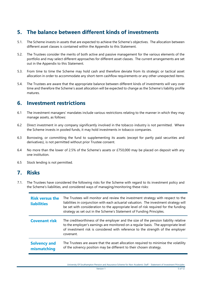### <span id="page-4-0"></span>**5. The balance between different kinds of investments**

- 5.1. The Scheme invests in assets that are expected to achieve the Scheme's objectives. The allocation between different asset classes is contained within the Appendix to this Statement.
- 5.2. The Trustees consider the merits of both active and passive management for the various elements of the portfolio and may select different approaches for different asset classes. The current arrangements are set out in the Appendix to this Statement.
- 5.3. From time to time the Scheme may hold cash and therefore deviate from its strategic or tactical asset allocation in order to accommodate any short-term cashflow requirements or any other unexpected items.
- 5.4. The Trustees are aware that the appropriate balance between different kinds of investments will vary over time and therefore the Scheme's asset allocation will be expected to change as the Scheme's liability profile matures.

### <span id="page-4-1"></span>**6. Investment restrictions**

- 6.1 The investment managers' mandates include various restrictions relating to the manner in which they may manage assets, as follows:
- 6.2 Direct investment in any company significantly involved in the tobacco industry is not permitted. Where the Scheme invests in pooled funds, it may hold investments in tobacco companies.
- 6.3 Borrowing, or committing the fund to supplementing its assets (except for partly paid securities and derivatives), is not permitted without prior Trustee consent.
- 6.4 No more than the lower of 2.5% of the Scheme's assets or £750,000 may be placed on deposit with any one institution.
- 6.5 Stock lending is not permitted.

### <span id="page-4-2"></span>**7. Risks**

7.1. The Trustees have considered the following risks for the Scheme with regard to its investment policy and the Scheme's liabilities, and considered ways of managing/monitoring these risks:

| <b>Risk versus the</b><br><b>liabilities</b> | The Trustees will monitor and review the investment strategy with respect to the<br>liabilities in conjunction with each actuarial valuation. The investment strategy will<br>be set with consideration to the appropriate level of risk required for the funding<br>strategy as set out in the Scheme's Statement of Funding Principles. |
|----------------------------------------------|-------------------------------------------------------------------------------------------------------------------------------------------------------------------------------------------------------------------------------------------------------------------------------------------------------------------------------------------|
| <b>Covenant risk</b>                         | The creditworthiness of the employer and the size of the pension liability relative<br>to the employer's earnings are monitored on a regular basis. The appropriate level<br>of investment risk is considered with reference to the strength of the employer<br>covenant.                                                                 |
| <b>Solvency and</b><br>mismatching           | The Trustees are aware that the asset allocation required to minimise the volatility<br>of the solvency position may be different to their chosen strategy.                                                                                                                                                                               |

University Of Southampton Pension and Assurance Scheme for Non-Academic Staff – Statement of Investment Principles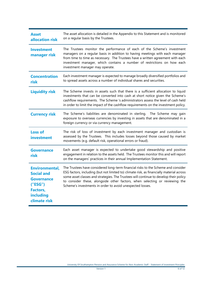| <b>Asset</b><br>allocation risk                                                                                                   | The asset allocation is detailed in the Appendix to this Statement and is monitored<br>on a regular basis by the Trustees.                                                                                                                                                                                                                                                                                         |
|-----------------------------------------------------------------------------------------------------------------------------------|--------------------------------------------------------------------------------------------------------------------------------------------------------------------------------------------------------------------------------------------------------------------------------------------------------------------------------------------------------------------------------------------------------------------|
| <b>Investment</b><br>manager risk                                                                                                 | The Trustees monitor the performance of each of the Scheme's investment<br>managers on a regular basis in addition to having meetings with each manager<br>from time to time as necessary. The Trustees have a written agreement with each<br>investment manager, which contains a number of restrictions on how each<br>investment manager may operate.                                                           |
| <b>Concentration</b><br>risk                                                                                                      | Each investment manager is expected to manage broadly diversified portfolios and<br>to spread assets across a number of individual shares and securities.                                                                                                                                                                                                                                                          |
| <b>Liquidity risk</b>                                                                                                             | The Scheme invests in assets such that there is a sufficient allocation to liquid<br>investments that can be converted into cash at short notice given the Scheme's<br>cashflow requirements. The Scheme 's administrators assess the level of cash held<br>in order to limit the impact of the cashflow requirements on the investment policy.                                                                    |
| <b>Currency risk</b>                                                                                                              | The Scheme's liabilities are denominated in sterling. The Scheme may gain<br>exposure to overseas currencies by investing in assets that are denominated in a<br>foreign currency or via currency management.                                                                                                                                                                                                      |
| <b>Loss of</b><br>investment                                                                                                      | The risk of loss of investment by each investment manager and custodian is<br>assessed by the Trustees. This includes losses beyond those caused by market<br>movements (e.g. default risk, operational errors or fraud).                                                                                                                                                                                          |
| <b>Governance</b><br>risk                                                                                                         | Each asset manager is expected to undertake good stewardship and positive<br>engagement in relation to the assets held. The Trustees monitor this and will report<br>on the managers' practices in their annual Implementation Statement.                                                                                                                                                                          |
| <b>Environmental,</b><br><b>Social and</b><br><b>Governance</b><br>("ESG")<br><b>Factors,</b><br><b>including</b><br>climate risk | The Trustees have considered long-term financial risks to the Scheme and consider<br>ESG factors, including (but not limited to) climate risk, as financially material across<br>some asset classes and strategies. The Trustees will continue to develop their policy<br>to consider these, alongside other factors, when selecting or reviewing the<br>Scheme's investments in order to avoid unexpected losses. |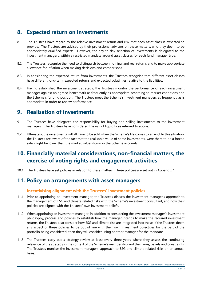### <span id="page-6-0"></span>**8. Expected return on investments**

- 8.1. The Trustees have regard to the relative investment return and risk that each asset class is expected to provide. The Trustees are advised by their professional advisors on these matters, who they deem to be appropriately qualified experts. However, the day-to-day selection of investments is delegated to the investment managers, within a restricted mandate around asset classes for each fund manager type.
- 8.2. The Trustees recognise the need to distinguish between nominal and real returns and to make appropriate allowance for inflation when making decisions and comparisons.
- 8.3. In considering the expected return from investments, the Trustees recognise that different asset classes have different long-term expected returns and expected volatilities relative to the liabilities.
- 8.4. Having established the investment strategy, the Trustees monitor the performance of each investment manager against an agreed benchmark as frequently as appropriate according to market conditions and the Scheme's funding position. The Trustees meet the Scheme's investment managers as frequently as is appropriate in order to review performance.

### <span id="page-6-1"></span>**9. Realisation of investments**

- 9.1. The Trustees have delegated the responsibility for buying and selling investments to the investment managers. The Trustees have considered the risk of liquidity as referred to above.
- 9.2. Ultimately, the investments will all have to be sold when the Scheme's life comes to an end. In this situation, the Trustees are aware of the fact that the realisable value of some investments, were there to be a forced sale, might be lower than the market value shown in the Scheme accounts.

### <span id="page-6-2"></span>**10. Financially material considerations, non-financial matters, the exercise of voting rights and engagement activities**

10.1 The Trustees have set policies in relation to these matters. These policies are set out in Appendix 1.

### <span id="page-6-3"></span>**11. Policy on arrangements with asset managers**

#### **Incentivising alignment with the Trustees' investment policies**

- 11.1. Prior to appointing an investment manager, the Trustees discuss the investment manager's approach to the management of ESG and climate related risks with the Scheme's investment consultant, and how their policies are aligned with the Trustees' own investment beliefs.
- 11.2. When appointing an investment manager, in addition to considering the investment manager's investment philosophy, process and policies to establish how the manager intends to make the required investment returns, the Trustees also consider how ESG and climate risk are integrated into these. If the Trustees deem any aspect of these policies to be out of line with their own investment objectives for the part of the portfolio being considered, then they will consider using another manager for the mandate.
- 11.3. The Trustees carry out a strategy review at least every three years where they assess the continuing relevance of the strategy in the context of the Scheme's membership and their aims, beliefs and constraints. The Trustees monitor the investment managers' approach to ESG and climate related risks on an annual basis.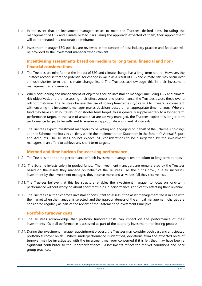- 11.4. In the event that an investment manager ceases to meet the Trustees' desired aims, including the management of ESG and climate related risks, using the approach expected of them, their appointment will be terminated in a reasonable timeframe.
- 11.5. Investment manager ESG policies are reviewed in the context of best industry practice and feedback will be provided to the investment manager when relevant.

#### **Incentivising assessments based on medium to long term, financial and nonfinancial considerations**

- 11.6. The Trustees are mindful that the impact of ESG and climate change has a long-term nature. However, the Trustees recognise that the potential for change in value as a result of ESG and climate risk may occur over a much shorter term than climate change itself. The Trustees acknowledge this in their investment management arrangements.
- 11.7. When considering the management of objectives for an investment manager (including ESG and climate risk objectives), and then assessing their effectiveness and performance, the Trustees assess these over a rolling timeframe. The Trustees believe the use of rolling timeframes, typically 3 to 5 years, is consistent with ensuring the investment manager makes decisions based on an appropriate time horizon. Where a fund may have an absolute return or shorter term target, this is generally supplementary to a longer term performance target. In the case of assets that are actively managed, the Trustees expect this longer term performance target to be sufficient to ensure an appropriate alignment of interests.
- 11.8. The Trustees expect investment managers to be voting and engaging on behalf of the Scheme's holdings and the Scheme monitors this activity within the Implementation Statement in the Scheme's Annual Report and Accounts. The Trustees do not expect ESG considerations to be disregarded by the investment managers in an effort to achieve any short term targets.

#### **Method and time horizon for assessing performance**

- 11.9. The Trustees monitor the performance of their investment managers over medium to long term periods.
- 11.10. The Scheme invests solely in pooled funds. The investment managers are remunerated by the Trustees based on the assets they manage on behalf of the Trustees. As the funds grow, due to successful investment by the investment manager, they receive more and as values fall they receive less.
- 11.11. The Trustees believe that this fee structure, enables the investment manager to focus on long-term performance without worrying about short term dips in performance significantly affecting their revenue.
- 11.12. The Trustees ask the Scheme's investment consultant to assess if the asset management fee is in line with the market when the manager is selected, and the appropriateness of the annual management charges are considered regularly as part of the review of the Statement of Investment Principles.

#### **Portfolio turnover costs**

- 11.13. The Trustees acknowledge that portfolio turnover costs can impact on the performance of their investments. Overall performance is assessed as part of the quarterly investment monitoring process.
- 11.14. During the investment manager appointment process, the Trustees may consider both past and anticipated portfolio turnover levels. Where underperformance is identified, deviations from the expected level of turnover may be investigated with the investment manager concerned if it is felt they may have been a significant contributor to the underperformance. Assessments reflect the market conditions and peer group practices.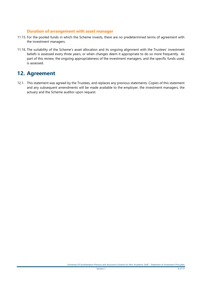#### **Duration of arrangement with asset manager**

- 11.15. For the pooled funds in which the Scheme invests, there are no predetermined terms of agreement with the investment managers.
- 11.16. The suitability of the Scheme's asset allocation and its ongoing alignment with the Trustees' investment beliefs is assessed every three years, or when changes deem it appropriate to do so more frequently. As part of this review, the ongoing appropriateness of the investment managers, and the specific funds used, is assessed.

### <span id="page-8-0"></span>**12. Agreement**

12.1. This statement was agreed by the Trustees, and replaces any previous statements. Copies of this statement and any subsequent amendments will be made available to the employer, the investment managers, the actuary and the Scheme auditor upon request.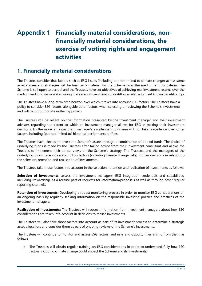## <span id="page-9-0"></span>**Appendix 1 Financially material considerations, nonfinancially material considerations, the exercise of voting rights and engagement activities**

### <span id="page-9-1"></span>**1. Financially material considerations**

The Trustees consider that factors such as ESG issues (including but not limited to climate change) across some asset classes and strategies will be financially material for the Scheme over the medium and long-term. The Scheme is still open to accrual and the Trustees have set objectives of achieving real investment returns over the medium and long-term and ensuring there are sufficient levels of cashflow available to meet known benefit outgo.

The Trustees have a long-term time horizon over which it takes into account ESG factors. The Trustees have a policy to consider ESG factors, alongside other factors, when selecting or reviewing the Scheme's investments and will be proportionate in their approach.

The Trustees will be reliant on the information presented by the investment manager and their investment advisors regarding the extent to which an investment manager allows for ESG in making their investment decisions. Furthermore, an investment manager's excellence in this area will not take precedence over other factors, including (but not limited to) historical performance or fees.

The Trustees have elected to invest the Scheme's assets through a combination of pooled funds. The choice of underlying funds is made by the Trustees after taking advice from their investment consultant and allows the Trustees to implement their ethical views on the Scheme's strategy. The Trustees, and the managers of the underlying funds, take into account ESG factors (including climate change risks) in their decisions in relation to the selection, retention and realisation of investments.

The Trustees take those factors into account in the selection, retention and realisation of investments as follows:

**Selection of investments:** assess the investment managers' ESG integration credentials and capabilities, including stewardship, as a routine part of requests for information/proposals as well as through other regular reporting channels.

**Retention of investments:** Developing a robust monitoring process in order to monitor ESG considerations on an ongoing basis by regularly seeking information on the responsible investing policies and practices of the investment managers.

**Realisation of investments:** The Trustees will request information from investment managers about how ESG considerations are taken into account in decisions to realise investments.

The Trustees will also take those factors into account as part of its investment process to determine a strategic asset allocation, and consider them as part of ongoing reviews of the Scheme's investments.

The Trustees will continue to monitor and assess ESG factors, and risks and opportunities arising from them, as follows:

 The Trustees will obtain regular training on ESG considerations in order to understand fully how ESG factors including climate change could impact the Scheme and its investments;

University Of Southampton Pension and Assurance Scheme for Non-Academic Staff – Statement of Investment Principles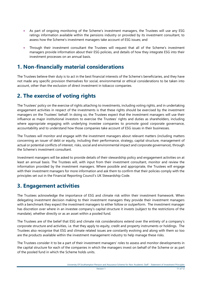- As part of ongoing monitoring of the Scheme's investment managers, the Trustees will use any ESG ratings information available within the pensions industry or provided by its investment consultant, to assess how the Scheme's investment managers take account of ESG issues; and
- Through their investment consultant the Trustees will request that all of the Scheme's investment managers provide information about their ESG policies, and details of how they integrate ESG into their investment processes on an annual basis.

### <span id="page-10-0"></span>**1. Non-financially material considerations**

The Trustees believe their duty is to act in the best financial interests of the Scheme's beneficiaries, and they have not made any specific provision themselves for social, environmental or ethical considerations to be taken into account, other than the exclusion of direct investment in tobacco companies.

### <span id="page-10-1"></span>**2. The exercise of voting rights**

The Trustees' policy on the exercise of rights attaching to investments, including voting rights, and in undertaking engagement activities in respect of the investments is that these rights should be exercised by the investment managers on the Trustees' behalf. In doing so, the Trustees expect that the investment managers will use their influence as major institutional investors to exercise the Trustees' rights and duties as shareholders, including where appropriate engaging with underlying investee companies to promote good corporate governance, accountability and to understand how those companies take account of ESG issues in their businesses.

The Trustees will monitor and engage with the investment managers about relevant matters (including matters concerning an issuer of debt or equity, including their performance, strategy, capital structure, management of actual or potential conflicts of interest, risks, social and environmental impact and corporate governance), through the Scheme's investment consultant.

Investment managers will be asked to provide details of their stewardship policy and engagement activities on at least an annual basis. The Trustees will, with input from their investment consultant, monitor and review the information provided by the investment managers. Where possible and appropriate, the Trustees will engage with their investment managers for more information and ask them to confirm that their policies comply with the principles set out in the Financial Reporting Council's UK Stewardship Code.

### <span id="page-10-2"></span>**3. Engagement activities**

The Trustees acknowledge the importance of ESG and climate risk within their investment framework. When delegating investment decision making to their investment managers they provide their investment managers with a benchmark they expect the investment managers to either follow or outperform. The investment manager has discretion over where in an investee company's capital structure it invests (subject to the restrictions of the mandate), whether directly or as an asset within a pooled fund.

The Trustees are of the belief that ESG and climate risk considerations extend over the entirety of a company's corporate structure and activities, i.e. that they apply to equity, credit and property instruments or holdings. The Trustees also recognise that ESG and climate related issues are constantly evolving and along with them so too are the products available within the investment management industry to help manage these risks.

The Trustees consider it to be a part of their investment managers' roles to assess and monitor developments in the capital structure for each of the companies in which the managers invest on behalf of the Scheme or as part of the pooled fund in which the Scheme holds units.